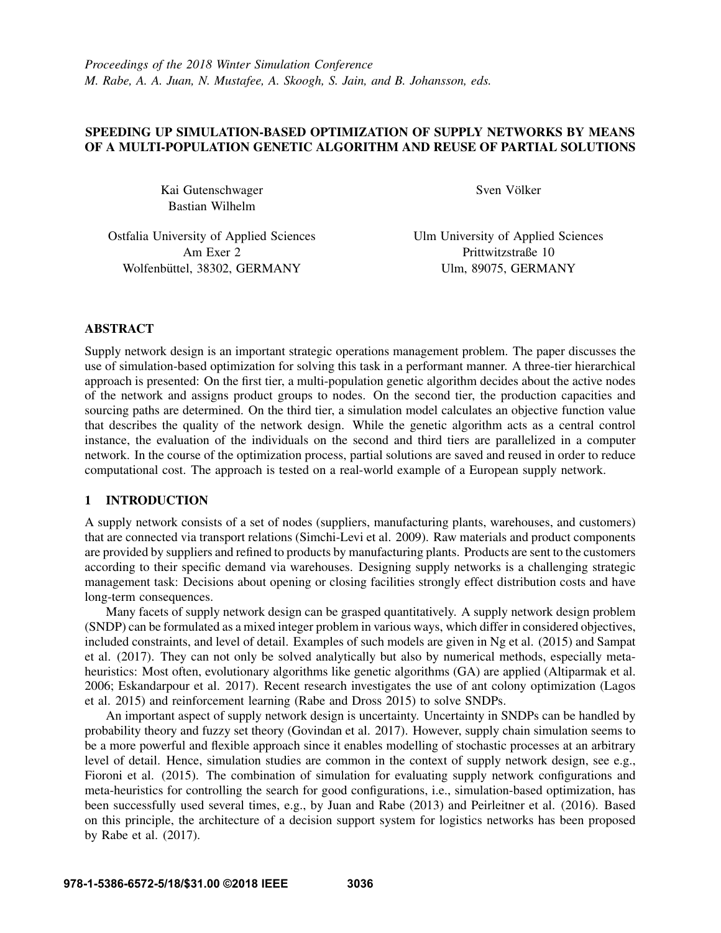# SPEEDING UP SIMULATION-BASED OPTIMIZATION OF SUPPLY NETWORKS BY MEANS OF A MULTI-POPULATION GENETIC ALGORITHM AND REUSE OF PARTIAL SOLUTIONS

Kai Gutenschwager Bastian Wilhelm

Sven Völker

Ostfalia University of Applied Sciences Am Exer 2 Wolfenbüttel, 38302, GERMANY

Ulm University of Applied Sciences Prittwitzstraße 10 Ulm, 89075, GERMANY

# ABSTRACT

Supply network design is an important strategic operations management problem. The paper discusses the use of simulation-based optimization for solving this task in a performant manner. A three-tier hierarchical approach is presented: On the first tier, a multi-population genetic algorithm decides about the active nodes of the network and assigns product groups to nodes. On the second tier, the production capacities and sourcing paths are determined. On the third tier, a simulation model calculates an objective function value that describes the quality of the network design. While the genetic algorithm acts as a central control instance, the evaluation of the individuals on the second and third tiers are parallelized in a computer network. In the course of the optimization process, partial solutions are saved and reused in order to reduce computational cost. The approach is tested on a real-world example of a European supply network.

# 1 INTRODUCTION

A supply network consists of a set of nodes (suppliers, manufacturing plants, warehouses, and customers) that are connected via transport relations (Simchi-Levi et al. 2009). Raw materials and product components are provided by suppliers and refined to products by manufacturing plants. Products are sent to the customers according to their specific demand via warehouses. Designing supply networks is a challenging strategic management task: Decisions about opening or closing facilities strongly effect distribution costs and have long-term consequences.

Many facets of supply network design can be grasped quantitatively. A supply network design problem (SNDP) can be formulated as a mixed integer problem in various ways, which differ in considered objectives, included constraints, and level of detail. Examples of such models are given in Ng et al. (2015) and Sampat et al. (2017). They can not only be solved analytically but also by numerical methods, especially metaheuristics: Most often, evolutionary algorithms like genetic algorithms (GA) are applied (Altiparmak et al. 2006; Eskandarpour et al. 2017). Recent research investigates the use of ant colony optimization (Lagos et al. 2015) and reinforcement learning (Rabe and Dross 2015) to solve SNDPs.

An important aspect of supply network design is uncertainty. Uncertainty in SNDPs can be handled by probability theory and fuzzy set theory (Govindan et al. 2017). However, supply chain simulation seems to be a more powerful and flexible approach since it enables modelling of stochastic processes at an arbitrary level of detail. Hence, simulation studies are common in the context of supply network design, see e.g., Fioroni et al. (2015). The combination of simulation for evaluating supply network configurations and meta-heuristics for controlling the search for good configurations, i.e., simulation-based optimization, has been successfully used several times, e.g., by Juan and Rabe (2013) and Peirleitner et al. (2016). Based on this principle, the architecture of a decision support system for logistics networks has been proposed by Rabe et al. (2017).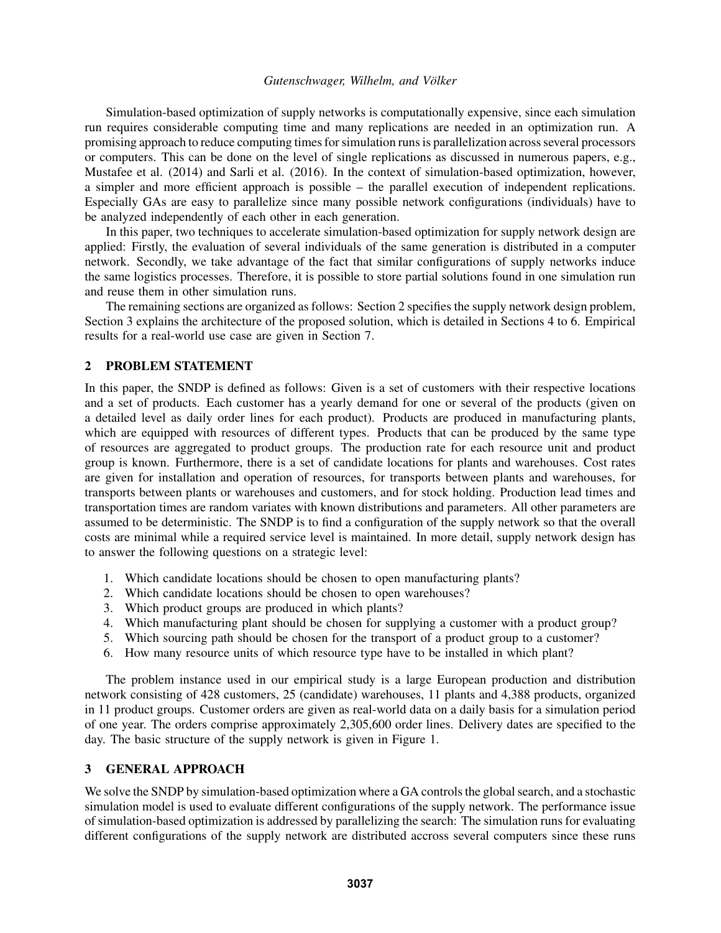Simulation-based optimization of supply networks is computationally expensive, since each simulation run requires considerable computing time and many replications are needed in an optimization run. A promising approach to reduce computing times for simulation runs is parallelization across several processors or computers. This can be done on the level of single replications as discussed in numerous papers, e.g., Mustafee et al. (2014) and Sarli et al. (2016). In the context of simulation-based optimization, however, a simpler and more efficient approach is possible – the parallel execution of independent replications. Especially GAs are easy to parallelize since many possible network configurations (individuals) have to be analyzed independently of each other in each generation.

In this paper, two techniques to accelerate simulation-based optimization for supply network design are applied: Firstly, the evaluation of several individuals of the same generation is distributed in a computer network. Secondly, we take advantage of the fact that similar configurations of supply networks induce the same logistics processes. Therefore, it is possible to store partial solutions found in one simulation run and reuse them in other simulation runs.

The remaining sections are organized as follows: Section 2 specifies the supply network design problem, Section 3 explains the architecture of the proposed solution, which is detailed in Sections 4 to 6. Empirical results for a real-world use case are given in Section 7.

# 2 PROBLEM STATEMENT

In this paper, the SNDP is defined as follows: Given is a set of customers with their respective locations and a set of products. Each customer has a yearly demand for one or several of the products (given on a detailed level as daily order lines for each product). Products are produced in manufacturing plants, which are equipped with resources of different types. Products that can be produced by the same type of resources are aggregated to product groups. The production rate for each resource unit and product group is known. Furthermore, there is a set of candidate locations for plants and warehouses. Cost rates are given for installation and operation of resources, for transports between plants and warehouses, for transports between plants or warehouses and customers, and for stock holding. Production lead times and transportation times are random variates with known distributions and parameters. All other parameters are assumed to be deterministic. The SNDP is to find a configuration of the supply network so that the overall costs are minimal while a required service level is maintained. In more detail, supply network design has to answer the following questions on a strategic level:

- 1. Which candidate locations should be chosen to open manufacturing plants?
- 2. Which candidate locations should be chosen to open warehouses?
- 3. Which product groups are produced in which plants?
- 4. Which manufacturing plant should be chosen for supplying a customer with a product group?
- 5. Which sourcing path should be chosen for the transport of a product group to a customer?
- 6. How many resource units of which resource type have to be installed in which plant?

The problem instance used in our empirical study is a large European production and distribution network consisting of 428 customers, 25 (candidate) warehouses, 11 plants and 4,388 products, organized in 11 product groups. Customer orders are given as real-world data on a daily basis for a simulation period of one year. The orders comprise approximately 2,305,600 order lines. Delivery dates are specified to the day. The basic structure of the supply network is given in Figure 1.

#### 3 GENERAL APPROACH

We solve the SNDP by simulation-based optimization where a GA controls the global search, and a stochastic simulation model is used to evaluate different configurations of the supply network. The performance issue of simulation-based optimization is addressed by parallelizing the search: The simulation runs for evaluating different configurations of the supply network are distributed accross several computers since these runs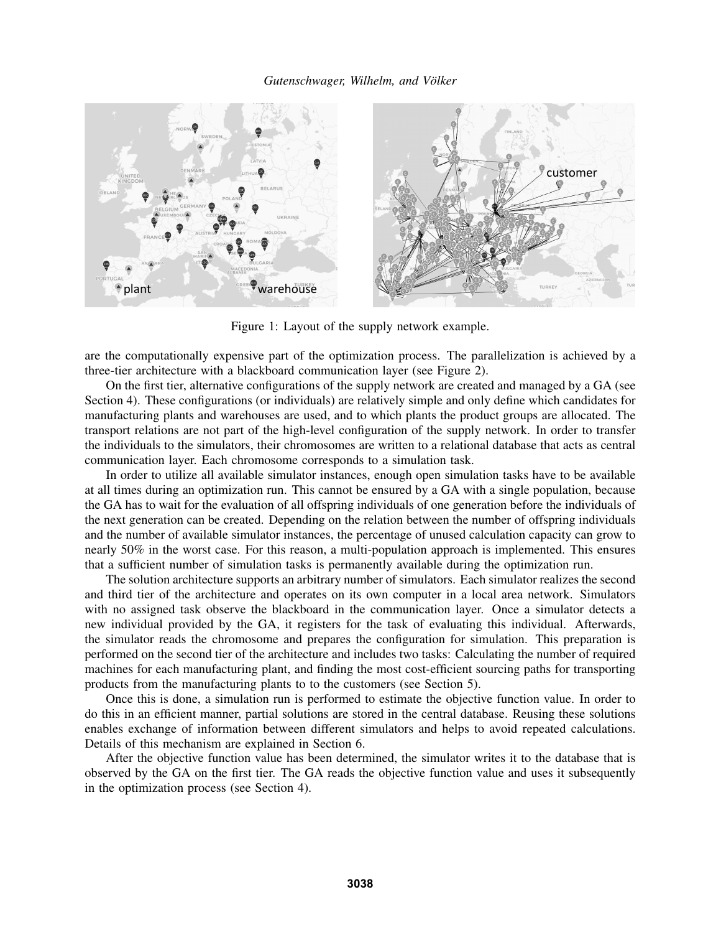

Figure 1: Layout of the supply network example.

are the computationally expensive part of the optimization process. The parallelization is achieved by a three-tier architecture with a blackboard communication layer (see Figure 2).

On the first tier, alternative configurations of the supply network are created and managed by a GA (see Section 4). These configurations (or individuals) are relatively simple and only define which candidates for manufacturing plants and warehouses are used, and to which plants the product groups are allocated. The transport relations are not part of the high-level configuration of the supply network. In order to transfer the individuals to the simulators, their chromosomes are written to a relational database that acts as central communication layer. Each chromosome corresponds to a simulation task.

In order to utilize all available simulator instances, enough open simulation tasks have to be available at all times during an optimization run. This cannot be ensured by a GA with a single population, because the GA has to wait for the evaluation of all offspring individuals of one generation before the individuals of the next generation can be created. Depending on the relation between the number of offspring individuals and the number of available simulator instances, the percentage of unused calculation capacity can grow to nearly 50% in the worst case. For this reason, a multi-population approach is implemented. This ensures that a sufficient number of simulation tasks is permanently available during the optimization run.

The solution architecture supports an arbitrary number of simulators. Each simulator realizes the second and third tier of the architecture and operates on its own computer in a local area network. Simulators with no assigned task observe the blackboard in the communication layer. Once a simulator detects a new individual provided by the GA, it registers for the task of evaluating this individual. Afterwards, the simulator reads the chromosome and prepares the configuration for simulation. This preparation is performed on the second tier of the architecture and includes two tasks: Calculating the number of required machines for each manufacturing plant, and finding the most cost-efficient sourcing paths for transporting products from the manufacturing plants to to the customers (see Section 5).

Once this is done, a simulation run is performed to estimate the objective function value. In order to do this in an efficient manner, partial solutions are stored in the central database. Reusing these solutions enables exchange of information between different simulators and helps to avoid repeated calculations. Details of this mechanism are explained in Section 6.

After the objective function value has been determined, the simulator writes it to the database that is observed by the GA on the first tier. The GA reads the objective function value and uses it subsequently in the optimization process (see Section 4).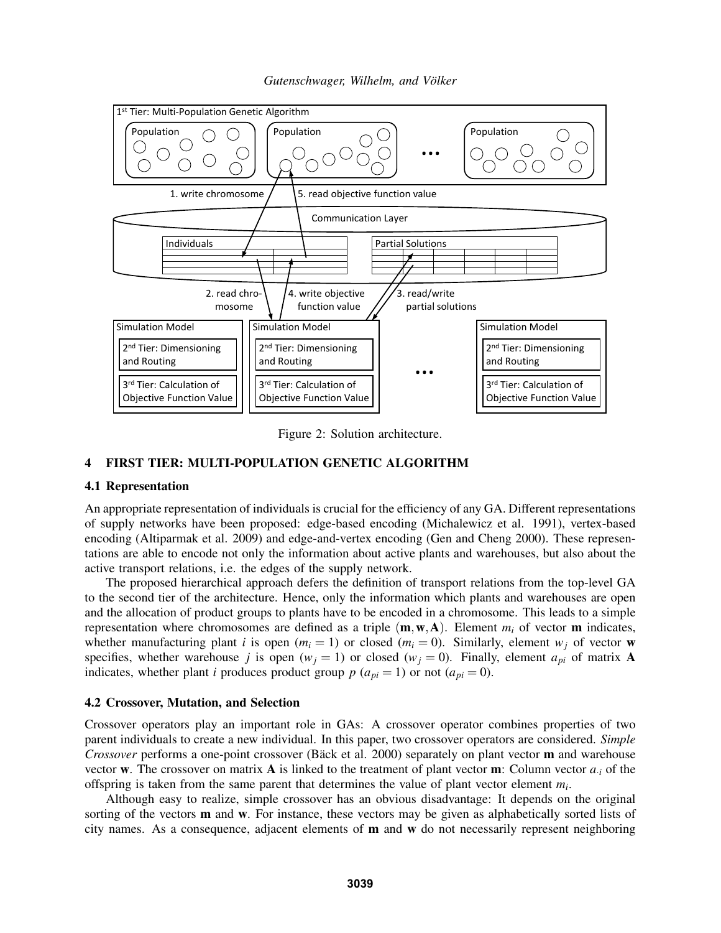

*Gutenschwager, Wilhelm, and Volker ¨*

Figure 2: Solution architecture.

## 4 FIRST TIER: MULTI-POPULATION GENETIC ALGORITHM

## 4.1 Representation

An appropriate representation of individuals is crucial for the efficiency of any GA. Different representations of supply networks have been proposed: edge-based encoding (Michalewicz et al. 1991), vertex-based encoding (Altiparmak et al. 2009) and edge-and-vertex encoding (Gen and Cheng 2000). These representations are able to encode not only the information about active plants and warehouses, but also about the active transport relations, i.e. the edges of the supply network.

The proposed hierarchical approach defers the definition of transport relations from the top-level GA to the second tier of the architecture. Hence, only the information which plants and warehouses are open and the allocation of product groups to plants have to be encoded in a chromosome. This leads to a simple representation where chromosomes are defined as a triple  $(m, w, A)$ . Element  $m_i$  of vector **m** indicates, whether manufacturing plant *i* is open  $(m_i = 1)$  or closed  $(m_i = 0)$ . Similarly, element  $w_i$  of vector w specifies, whether warehouse *j* is open ( $w_j = 1$ ) or closed ( $w_j = 0$ ). Finally, element  $a_{pi}$  of matrix **A** indicates, whether plant *i* produces product group  $p(a_{pi} = 1)$  or not  $(a_{pi} = 0)$ .

#### 4.2 Crossover, Mutation, and Selection

Crossover operators play an important role in GAs: A crossover operator combines properties of two parent individuals to create a new individual. In this paper, two crossover operators are considered. *Simple Crossover* performs a one-point crossover (Bäck et al. 2000) separately on plant vector **m** and warehouse vector **w**. The crossover on matrix **A** is linked to the treatment of plant vector **m**: Column vector  $a_i$  of the offspring is taken from the same parent that determines the value of plant vector element *m<sup>i</sup>* .

Although easy to realize, simple crossover has an obvious disadvantage: It depends on the original sorting of the vectors **m** and **w**. For instance, these vectors may be given as alphabetically sorted lists of city names. As a consequence, adjacent elements of  **and**  $**w**$  **do not necessarily represent neighboring**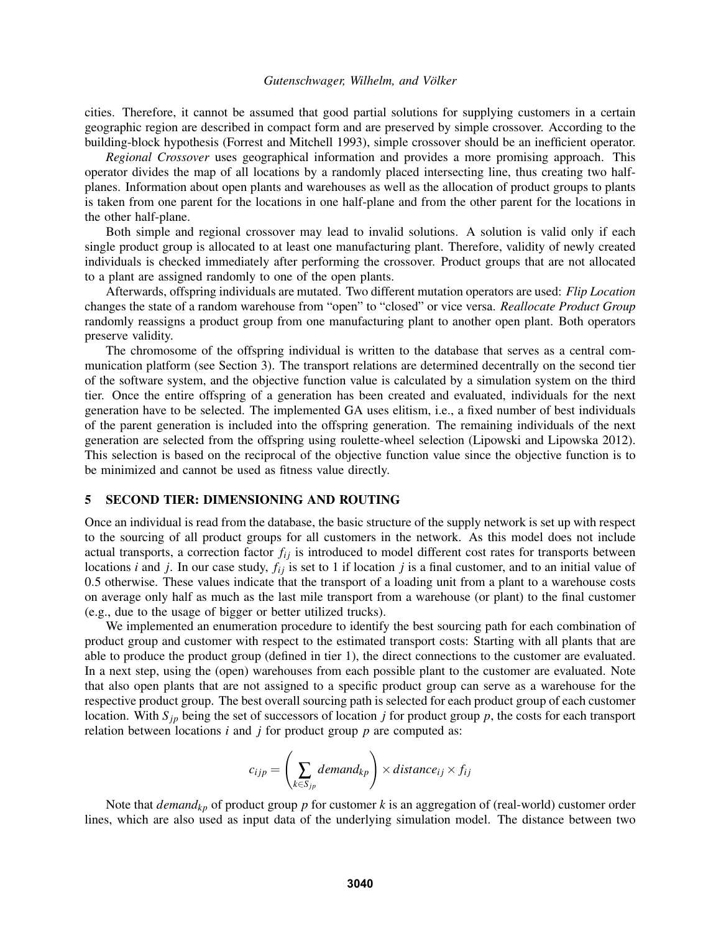cities. Therefore, it cannot be assumed that good partial solutions for supplying customers in a certain geographic region are described in compact form and are preserved by simple crossover. According to the building-block hypothesis (Forrest and Mitchell 1993), simple crossover should be an inefficient operator.

*Regional Crossover* uses geographical information and provides a more promising approach. This operator divides the map of all locations by a randomly placed intersecting line, thus creating two halfplanes. Information about open plants and warehouses as well as the allocation of product groups to plants is taken from one parent for the locations in one half-plane and from the other parent for the locations in the other half-plane.

Both simple and regional crossover may lead to invalid solutions. A solution is valid only if each single product group is allocated to at least one manufacturing plant. Therefore, validity of newly created individuals is checked immediately after performing the crossover. Product groups that are not allocated to a plant are assigned randomly to one of the open plants.

Afterwards, offspring individuals are mutated. Two different mutation operators are used: *Flip Location* changes the state of a random warehouse from "open" to "closed" or vice versa. *Reallocate Product Group* randomly reassigns a product group from one manufacturing plant to another open plant. Both operators preserve validity.

The chromosome of the offspring individual is written to the database that serves as a central communication platform (see Section 3). The transport relations are determined decentrally on the second tier of the software system, and the objective function value is calculated by a simulation system on the third tier. Once the entire offspring of a generation has been created and evaluated, individuals for the next generation have to be selected. The implemented GA uses elitism, i.e., a fixed number of best individuals of the parent generation is included into the offspring generation. The remaining individuals of the next generation are selected from the offspring using roulette-wheel selection (Lipowski and Lipowska 2012). This selection is based on the reciprocal of the objective function value since the objective function is to be minimized and cannot be used as fitness value directly.

#### 5 SECOND TIER: DIMENSIONING AND ROUTING

Once an individual is read from the database, the basic structure of the supply network is set up with respect to the sourcing of all product groups for all customers in the network. As this model does not include actual transports, a correction factor  $f_{ij}$  is introduced to model different cost rates for transports between locations *i* and *j*. In our case study,  $f_{ij}$  is set to 1 if location *j* is a final customer, and to an initial value of 0.5 otherwise. These values indicate that the transport of a loading unit from a plant to a warehouse costs on average only half as much as the last mile transport from a warehouse (or plant) to the final customer (e.g., due to the usage of bigger or better utilized trucks).

We implemented an enumeration procedure to identify the best sourcing path for each combination of product group and customer with respect to the estimated transport costs: Starting with all plants that are able to produce the product group (defined in tier 1), the direct connections to the customer are evaluated. In a next step, using the (open) warehouses from each possible plant to the customer are evaluated. Note that also open plants that are not assigned to a specific product group can serve as a warehouse for the respective product group. The best overall sourcing path is selected for each product group of each customer location. With  $S_{jp}$  being the set of successors of location *j* for product group *p*, the costs for each transport relation between locations *i* and *j* for product group *p* are computed as:

$$
c_{ijp} = \left(\sum_{k \in S_{jp}} demand_{kp}\right) \times distance_{ij} \times f_{ij}
$$

Note that *demandkp* of product group *p* for customer *k* is an aggregation of (real-world) customer order lines, which are also used as input data of the underlying simulation model. The distance between two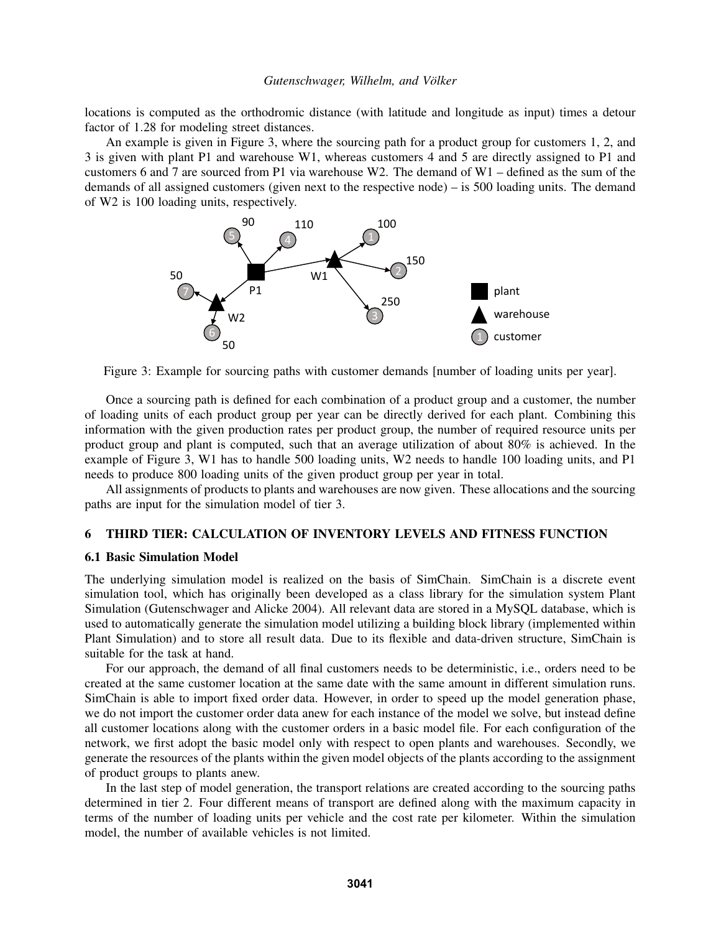locations is computed as the orthodromic distance (with latitude and longitude as input) times a detour factor of 1.28 for modeling street distances.

An example is given in Figure 3, where the sourcing path for a product group for customers 1, 2, and 3 is given with plant P1 and warehouse W1, whereas customers 4 and 5 are directly assigned to P1 and customers 6 and 7 are sourced from P1 via warehouse W2. The demand of W1 – defined as the sum of the demands of all assigned customers (given next to the respective node) – is 500 loading units. The demand of W2 is 100 loading units, respectively.



Figure 3: Example for sourcing paths with customer demands [number of loading units per year].

Once a sourcing path is defined for each combination of a product group and a customer, the number of loading units of each product group per year can be directly derived for each plant. Combining this information with the given production rates per product group, the number of required resource units per product group and plant is computed, such that an average utilization of about 80% is achieved. In the example of Figure 3, W1 has to handle 500 loading units, W2 needs to handle 100 loading units, and P1 needs to produce 800 loading units of the given product group per year in total.

All assignments of products to plants and warehouses are now given. These allocations and the sourcing paths are input for the simulation model of tier 3.

## 6 THIRD TIER: CALCULATION OF INVENTORY LEVELS AND FITNESS FUNCTION

## 6.1 Basic Simulation Model

The underlying simulation model is realized on the basis of SimChain. SimChain is a discrete event simulation tool, which has originally been developed as a class library for the simulation system Plant Simulation (Gutenschwager and Alicke 2004). All relevant data are stored in a MySQL database, which is used to automatically generate the simulation model utilizing a building block library (implemented within Plant Simulation) and to store all result data. Due to its flexible and data-driven structure, SimChain is suitable for the task at hand.

For our approach, the demand of all final customers needs to be deterministic, i.e., orders need to be created at the same customer location at the same date with the same amount in different simulation runs. SimChain is able to import fixed order data. However, in order to speed up the model generation phase, we do not import the customer order data anew for each instance of the model we solve, but instead define all customer locations along with the customer orders in a basic model file. For each configuration of the network, we first adopt the basic model only with respect to open plants and warehouses. Secondly, we generate the resources of the plants within the given model objects of the plants according to the assignment of product groups to plants anew.

In the last step of model generation, the transport relations are created according to the sourcing paths determined in tier 2. Four different means of transport are defined along with the maximum capacity in terms of the number of loading units per vehicle and the cost rate per kilometer. Within the simulation model, the number of available vehicles is not limited.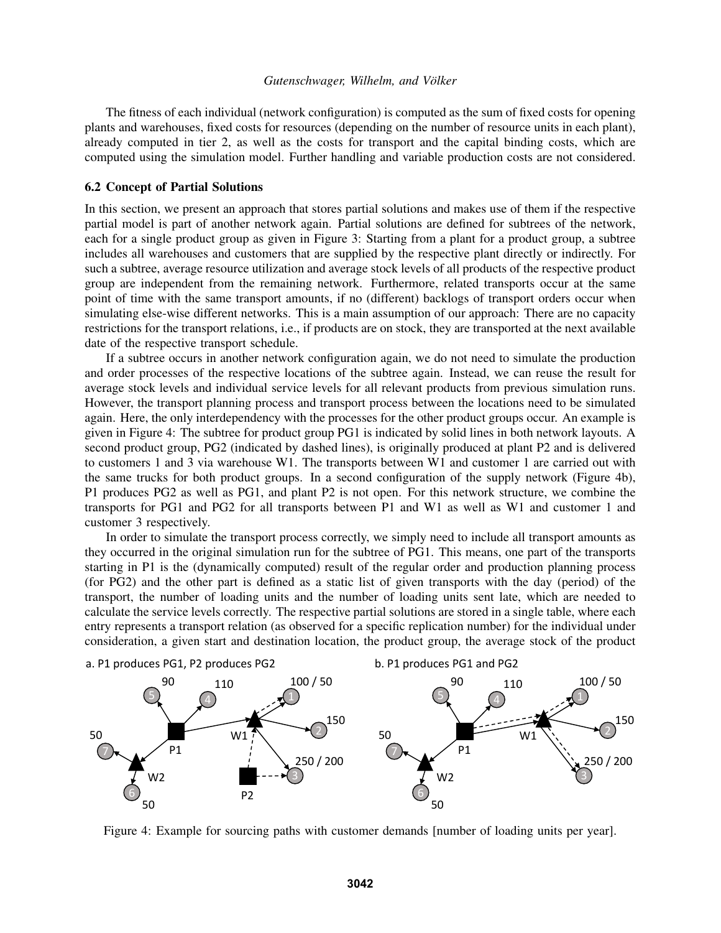The fitness of each individual (network configuration) is computed as the sum of fixed costs for opening plants and warehouses, fixed costs for resources (depending on the number of resource units in each plant), already computed in tier 2, as well as the costs for transport and the capital binding costs, which are computed using the simulation model. Further handling and variable production costs are not considered.

### 6.2 Concept of Partial Solutions

In this section, we present an approach that stores partial solutions and makes use of them if the respective partial model is part of another network again. Partial solutions are defined for subtrees of the network, each for a single product group as given in Figure 3: Starting from a plant for a product group, a subtree includes all warehouses and customers that are supplied by the respective plant directly or indirectly. For such a subtree, average resource utilization and average stock levels of all products of the respective product group are independent from the remaining network. Furthermore, related transports occur at the same point of time with the same transport amounts, if no (different) backlogs of transport orders occur when simulating else-wise different networks. This is a main assumption of our approach: There are no capacity restrictions for the transport relations, i.e., if products are on stock, they are transported at the next available date of the respective transport schedule.

If a subtree occurs in another network configuration again, we do not need to simulate the production and order processes of the respective locations of the subtree again. Instead, we can reuse the result for average stock levels and individual service levels for all relevant products from previous simulation runs. However, the transport planning process and transport process between the locations need to be simulated again. Here, the only interdependency with the processes for the other product groups occur. An example is given in Figure 4: The subtree for product group PG1 is indicated by solid lines in both network layouts. A second product group, PG2 (indicated by dashed lines), is originally produced at plant P2 and is delivered to customers 1 and 3 via warehouse W1. The transports between W1 and customer 1 are carried out with the same trucks for both product groups. In a second configuration of the supply network (Figure 4b), P1 produces PG2 as well as PG1, and plant P2 is not open. For this network structure, we combine the transports for PG1 and PG2 for all transports between P1 and W1 as well as W1 and customer 1 and customer 3 respectively.

In order to simulate the transport process correctly, we simply need to include all transport amounts as they occurred in the original simulation run for the subtree of PG1. This means, one part of the transports starting in P1 is the (dynamically computed) result of the regular order and production planning process (for PG2) and the other part is defined as a static list of given transports with the day (period) of the transport, the number of loading units and the number of loading units sent late, which are needed to calculate the service levels correctly. The respective partial solutions are stored in a single table, where each entry represents a transport relation (as observed for a specific replication number) for the individual under consideration, a given start and destination location, the product group, the average stock of the product



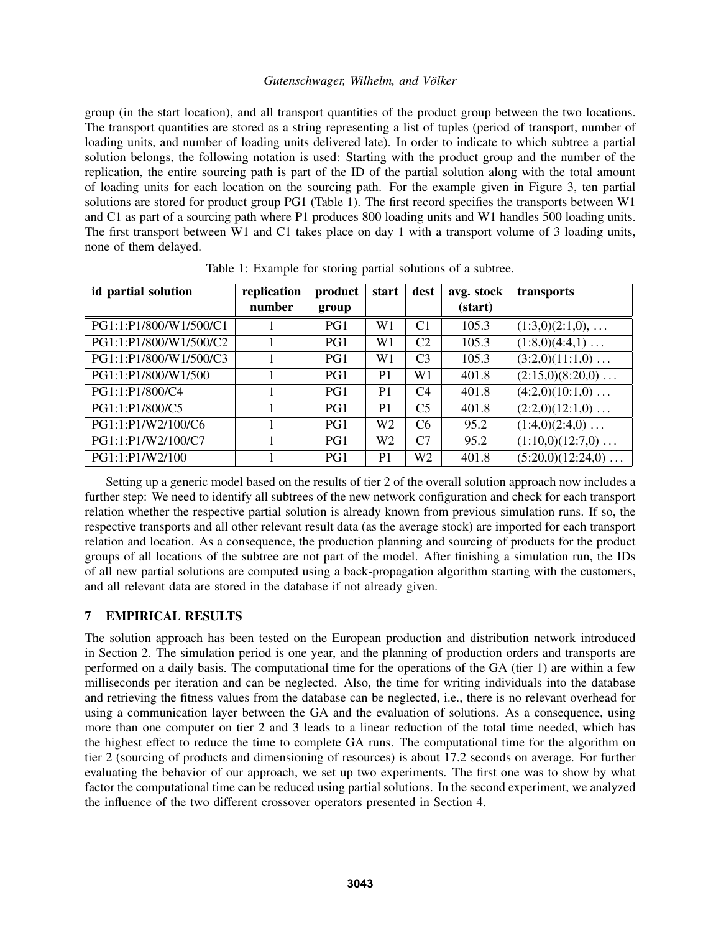group (in the start location), and all transport quantities of the product group between the two locations. The transport quantities are stored as a string representing a list of tuples (period of transport, number of loading units, and number of loading units delivered late). In order to indicate to which subtree a partial solution belongs, the following notation is used: Starting with the product group and the number of the replication, the entire sourcing path is part of the ID of the partial solution along with the total amount of loading units for each location on the sourcing path. For the example given in Figure 3, ten partial solutions are stored for product group PG1 (Table 1). The first record specifies the transports between W1 and C1 as part of a sourcing path where P1 produces 800 loading units and W1 handles 500 loading units. The first transport between W1 and C1 takes place on day 1 with a transport volume of 3 loading units, none of them delayed.

| id_partial_solution    | replication | product | start          | dest           | avg. stock | transports                 |
|------------------------|-------------|---------|----------------|----------------|------------|----------------------------|
|                        | number      | group   |                |                | (start)    |                            |
| PG1:1:P1/800/W1/500/C1 |             | PG1     | W1             | C <sub>1</sub> | 105.3      | $(1:3,0)(2:1,0), \ldots$   |
| PG1:1:P1/800/W1/500/C2 |             | PG1     | W1             | C <sub>2</sub> | 105.3      | $(1:8,0)(4:4,1) \ldots$    |
| PG1:1:P1/800/W1/500/C3 |             | PG1     | W1             | C <sub>3</sub> | 105.3      | $(3:2,0)(11:1,0) \ldots$   |
| PG1:1:P1/800/W1/500    |             | PG1     | P <sub>1</sub> | W1             | 401.8      | $(2:15,0)(8:20,0) \ldots$  |
| PG1:1:P1/800/C4        |             | PG1     | P <sub>1</sub> | C <sub>4</sub> | 401.8      | $(4:2,0)(10:1,0) \ldots$   |
| PG1:1:P1/800/C5        |             | PG1     | P <sub>1</sub> | C <sub>5</sub> | 401.8      | $(2:2,0)(12:1,0) \ldots$   |
| PG1:1:P1/W2/100/C6     |             | PG1     | W <sub>2</sub> | C <sub>6</sub> | 95.2       | $(1:4,0)(2:4,0) \ldots$    |
| PG1:1:P1/W2/100/C7     |             | PG1     | W <sub>2</sub> | C7             | 95.2       | $(1:10,0)(12:7,0) \ldots$  |
| PG1:1:P1/W2/100        |             | PG1     | P <sub>1</sub> | W <sub>2</sub> | 401.8      | $(5:20,0)(12:24,0) \ldots$ |

Table 1: Example for storing partial solutions of a subtree.

Setting up a generic model based on the results of tier 2 of the overall solution approach now includes a further step: We need to identify all subtrees of the new network configuration and check for each transport relation whether the respective partial solution is already known from previous simulation runs. If so, the respective transports and all other relevant result data (as the average stock) are imported for each transport relation and location. As a consequence, the production planning and sourcing of products for the product groups of all locations of the subtree are not part of the model. After finishing a simulation run, the IDs of all new partial solutions are computed using a back-propagation algorithm starting with the customers, and all relevant data are stored in the database if not already given.

# 7 EMPIRICAL RESULTS

The solution approach has been tested on the European production and distribution network introduced in Section 2. The simulation period is one year, and the planning of production orders and transports are performed on a daily basis. The computational time for the operations of the GA (tier 1) are within a few milliseconds per iteration and can be neglected. Also, the time for writing individuals into the database and retrieving the fitness values from the database can be neglected, i.e., there is no relevant overhead for using a communication layer between the GA and the evaluation of solutions. As a consequence, using more than one computer on tier 2 and 3 leads to a linear reduction of the total time needed, which has the highest effect to reduce the time to complete GA runs. The computational time for the algorithm on tier 2 (sourcing of products and dimensioning of resources) is about 17.2 seconds on average. For further evaluating the behavior of our approach, we set up two experiments. The first one was to show by what factor the computational time can be reduced using partial solutions. In the second experiment, we analyzed the influence of the two different crossover operators presented in Section 4.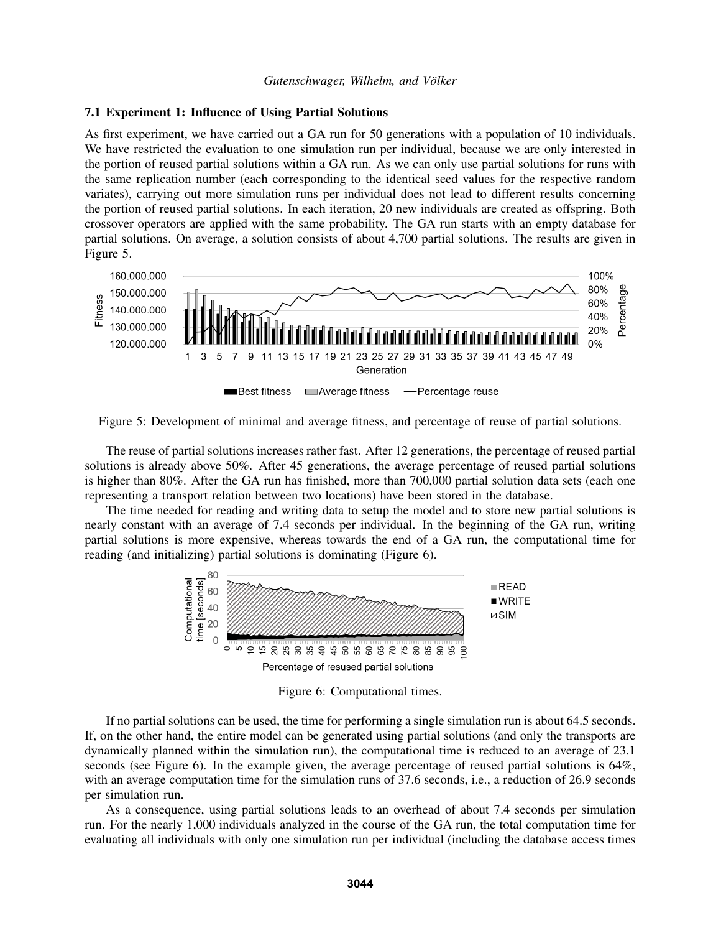#### 7.1 Experiment 1: Influence of Using Partial Solutions

As first experiment, we have carried out a GA run for 50 generations with a population of 10 individuals. We have restricted the evaluation to one simulation run per individual, because we are only interested in the portion of reused partial solutions within a GA run. As we can only use partial solutions for runs with the same replication number (each corresponding to the identical seed values for the respective random variates), carrying out more simulation runs per individual does not lead to different results concerning the portion of reused partial solutions. In each iteration, 20 new individuals are created as offspring. Both crossover operators are applied with the same probability. The GA run starts with an empty database for partial solutions. On average, a solution consists of about 4,700 partial solutions. The results are given in Figure 5.



Figure 5: Development of minimal and average fitness, and percentage of reuse of partial solutions.

The reuse of partial solutions increases rather fast. After 12 generations, the percentage of reused partial solutions is already above 50%. After 45 generations, the average percentage of reused partial solutions is higher than 80%. After the GA run has finished, more than 700,000 partial solution data sets (each one representing a transport relation between two locations) have been stored in the database.

The time needed for reading and writing data to setup the model and to store new partial solutions is nearly constant with an average of 7.4 seconds per individual. In the beginning of the GA run, writing partial solutions is more expensive, whereas towards the end of a GA run, the computational time for reading (and initializing) partial solutions is dominating (Figure 6).



Figure 6: Computational times.

If no partial solutions can be used, the time for performing a single simulation run is about 64.5 seconds. If, on the other hand, the entire model can be generated using partial solutions (and only the transports are dynamically planned within the simulation run), the computational time is reduced to an average of 23.1 seconds (see Figure 6). In the example given, the average percentage of reused partial solutions is 64%, with an average computation time for the simulation runs of 37.6 seconds, i.e., a reduction of 26.9 seconds per simulation run.

As a consequence, using partial solutions leads to an overhead of about 7.4 seconds per simulation run. For the nearly 1,000 individuals analyzed in the course of the GA run, the total computation time for evaluating all individuals with only one simulation run per individual (including the database access times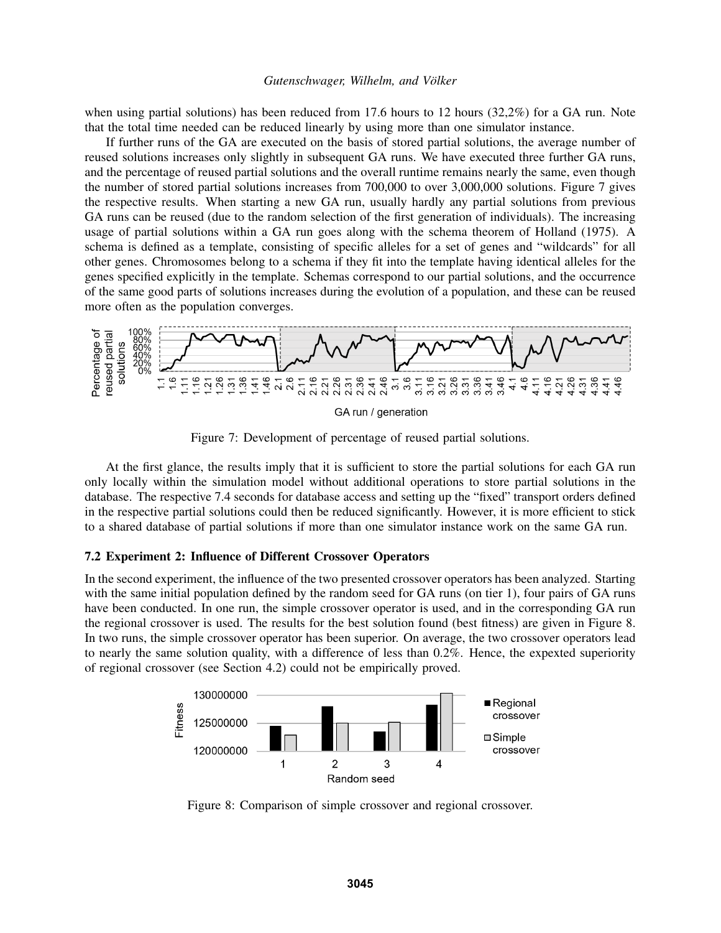when using partial solutions) has been reduced from 17.6 hours to 12 hours (32,2%) for a GA run. Note that the total time needed can be reduced linearly by using more than one simulator instance.

If further runs of the GA are executed on the basis of stored partial solutions, the average number of reused solutions increases only slightly in subsequent GA runs. We have executed three further GA runs, and the percentage of reused partial solutions and the overall runtime remains nearly the same, even though the number of stored partial solutions increases from 700,000 to over 3,000,000 solutions. Figure 7 gives the respective results. When starting a new GA run, usually hardly any partial solutions from previous GA runs can be reused (due to the random selection of the first generation of individuals). The increasing usage of partial solutions within a GA run goes along with the schema theorem of Holland (1975). A schema is defined as a template, consisting of specific alleles for a set of genes and "wildcards" for all other genes. Chromosomes belong to a schema if they fit into the template having identical alleles for the genes specified explicitly in the template. Schemas correspond to our partial solutions, and the occurrence of the same good parts of solutions increases during the evolution of a population, and these can be reused more often as the population converges.



Figure 7: Development of percentage of reused partial solutions.

At the first glance, the results imply that it is sufficient to store the partial solutions for each GA run only locally within the simulation model without additional operations to store partial solutions in the database. The respective 7.4 seconds for database access and setting up the "fixed" transport orders defined in the respective partial solutions could then be reduced significantly. However, it is more efficient to stick to a shared database of partial solutions if more than one simulator instance work on the same GA run.

## 7.2 Experiment 2: Influence of Different Crossover Operators

In the second experiment, the influence of the two presented crossover operators has been analyzed. Starting with the same initial population defined by the random seed for GA runs (on tier 1), four pairs of GA runs have been conducted. In one run, the simple crossover operator is used, and in the corresponding GA run the regional crossover is used. The results for the best solution found (best fitness) are given in Figure 8. In two runs, the simple crossover operator has been superior. On average, the two crossover operators lead to nearly the same solution quality, with a difference of less than 0.2%. Hence, the expexted superiority of regional crossover (see Section 4.2) could not be empirically proved.



Figure 8: Comparison of simple crossover and regional crossover.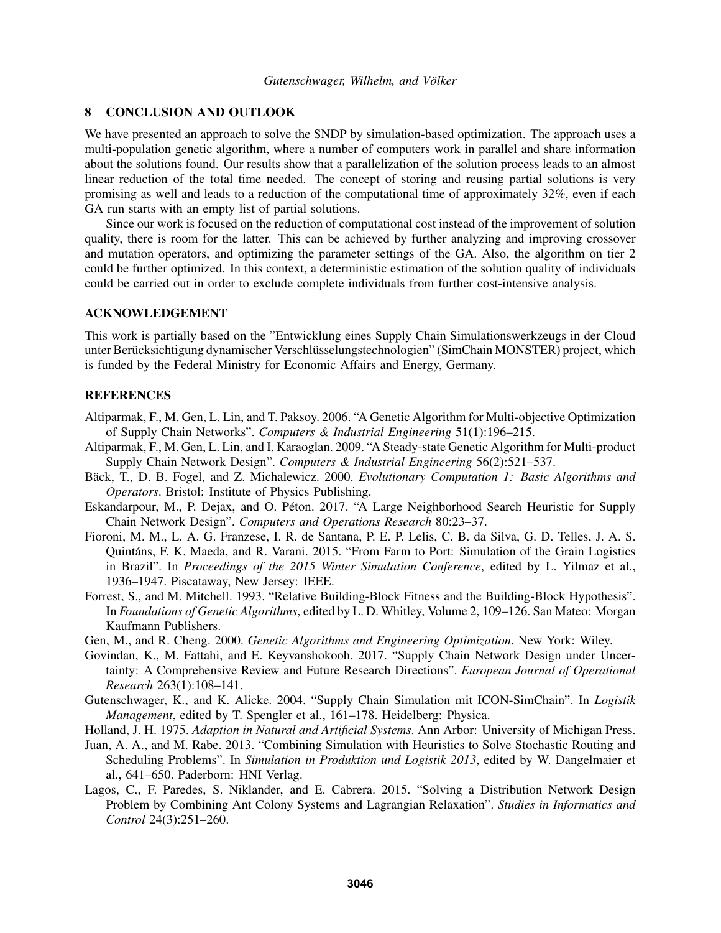### 8 CONCLUSION AND OUTLOOK

We have presented an approach to solve the SNDP by simulation-based optimization. The approach uses a multi-population genetic algorithm, where a number of computers work in parallel and share information about the solutions found. Our results show that a parallelization of the solution process leads to an almost linear reduction of the total time needed. The concept of storing and reusing partial solutions is very promising as well and leads to a reduction of the computational time of approximately 32%, even if each GA run starts with an empty list of partial solutions.

Since our work is focused on the reduction of computational cost instead of the improvement of solution quality, there is room for the latter. This can be achieved by further analyzing and improving crossover and mutation operators, and optimizing the parameter settings of the GA. Also, the algorithm on tier 2 could be further optimized. In this context, a deterministic estimation of the solution quality of individuals could be carried out in order to exclude complete individuals from further cost-intensive analysis.

## ACKNOWLEDGEMENT

This work is partially based on the "Entwicklung eines Supply Chain Simulationswerkzeugs in der Cloud unter Berücksichtigung dynamischer Verschlüsselungstechnologien" (SimChain MONSTER) project, which is funded by the Federal Ministry for Economic Affairs and Energy, Germany.

# **REFERENCES**

- Altiparmak, F., M. Gen, L. Lin, and T. Paksoy. 2006. "A Genetic Algorithm for Multi-objective Optimization of Supply Chain Networks". *Computers & Industrial Engineering* 51(1):196–215.
- Altiparmak, F., M. Gen, L. Lin, and I. Karaoglan. 2009. "A Steady-state Genetic Algorithm for Multi-product Supply Chain Network Design". *Computers & Industrial Engineering* 56(2):521–537.
- Bäck, T., D. B. Fogel, and Z. Michalewicz. 2000. Evolutionary Computation 1: Basic Algorithms and *Operators*. Bristol: Institute of Physics Publishing.
- Eskandarpour, M., P. Dejax, and O. Peton. 2017. "A Large Neighborhood Search Heuristic for Supply ´ Chain Network Design". *Computers and Operations Research* 80:23–37.
- Fioroni, M. M., L. A. G. Franzese, I. R. de Santana, P. E. P. Lelis, C. B. da Silva, G. D. Telles, J. A. S. Quintans, F. K. Maeda, and R. Varani. 2015. "From Farm to Port: Simulation of the Grain Logistics ´ in Brazil". In *Proceedings of the 2015 Winter Simulation Conference*, edited by L. Yilmaz et al., 1936–1947. Piscataway, New Jersey: IEEE.
- Forrest, S., and M. Mitchell. 1993. "Relative Building-Block Fitness and the Building-Block Hypothesis". In *Foundations of Genetic Algorithms*, edited by L. D. Whitley, Volume 2, 109–126. San Mateo: Morgan Kaufmann Publishers.
- Gen, M., and R. Cheng. 2000. *Genetic Algorithms and Engineering Optimization*. New York: Wiley.
- Govindan, K., M. Fattahi, and E. Keyvanshokooh. 2017. "Supply Chain Network Design under Uncertainty: A Comprehensive Review and Future Research Directions". *European Journal of Operational Research* 263(1):108–141.
- Gutenschwager, K., and K. Alicke. 2004. "Supply Chain Simulation mit ICON-SimChain". In *Logistik Management*, edited by T. Spengler et al., 161–178. Heidelberg: Physica.
- Holland, J. H. 1975. *Adaption in Natural and Artificial Systems*. Ann Arbor: University of Michigan Press.
- Juan, A. A., and M. Rabe. 2013. "Combining Simulation with Heuristics to Solve Stochastic Routing and Scheduling Problems". In *Simulation in Produktion und Logistik 2013*, edited by W. Dangelmaier et al., 641–650. Paderborn: HNI Verlag.
- Lagos, C., F. Paredes, S. Niklander, and E. Cabrera. 2015. "Solving a Distribution Network Design Problem by Combining Ant Colony Systems and Lagrangian Relaxation". *Studies in Informatics and Control* 24(3):251–260.